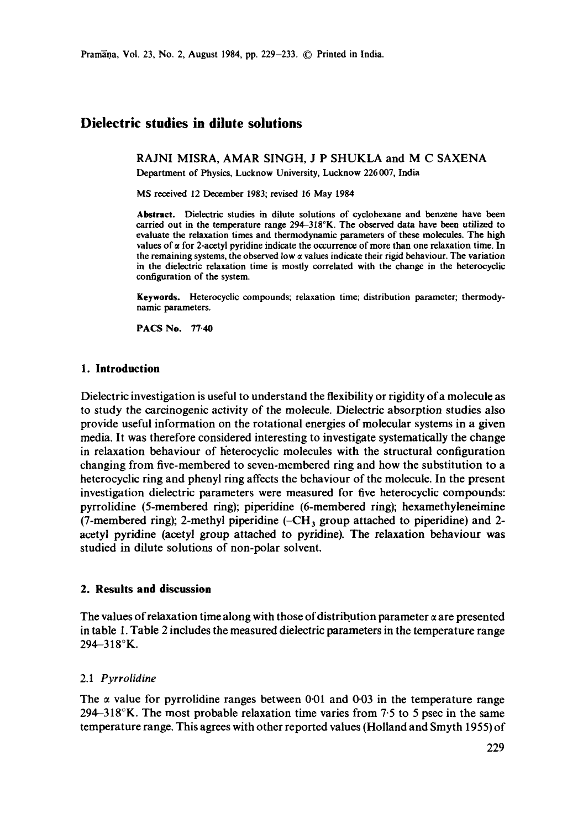# **Dielectric studies in dilute solutions**

RAJNI MISRA, AMAR SINGH, J P SHUKLA and M C SAXENA

Department of Physics, Lucknow University, Lucknow 226 007, India

MS received 12 December 1983; revised 16 May 1984

Abstract. Dielectric studies in dilute solutions of eyclohexane and benzene have been carried out in the temperature range 294-318°K. The observed data have been utilized to evaluate the relaxation times and thermodynamic parameters of these molecules. The high values of  $\alpha$  for 2-acetyl pyridine indicate the occurrence of more than one relaxation time. In the remaining systems, the observed low  $\alpha$  values indicate their rigid behaviour. The variation in the dielectric relaxation time is mostly correlated with the change in the heterocyclic configuration of the system.

**Keywords.** Heterocyclic compounds; relaxation time; distribution parameter; thermodynamic parameters.

PACS No. 77.40

### **1. Introduction**

Dielectric investigation is useful to understand the flexibility or rigidity of a molecule as to study the carcinogenic activity of the molecule. Dielectric absorption studies also provide useful information on the rotational energies of molecular systems in a given media. It was therefore considered interesting to investigate systematically the change in relaxation behaviour of h'eterocyclic molecules with the structural configuration changing from five-membered to seven-membered ring and how the substitution to a heterocyclic ring and phenyl ring affects the behaviour of the molecule. In the present investigation dielectric parameters were measured for five heterocyclic compounds: pyrrolidine (5-membered ring); piperidine (6-membered ring); hexamethyleneimine (7-membered ring); 2-methyl piperidine  $(-CH_3)$  group attached to piperidine) and 2acetyl pyridine (acetyl group attached to pyridine). The relaxation behaviour was studied in dilute solutions of non-polar solvent.

# **2. Results and discussion**

The values of relaxation time along with those of distribution parameter  $\alpha$  are presented in table 1. Table 2 includes the measured dielectric parameters in the temperature range 294-318°K.

### 2.1 *Pyrrolidine*

The  $\alpha$  value for pyrrolidine ranges between 0.01 and 0.03 in the temperature range 294-318°K. The most probable relaxation time varies from 7.5 to 5 psec in the same temperature range. This agrees with other reported values (Holland and Smyth 1955) of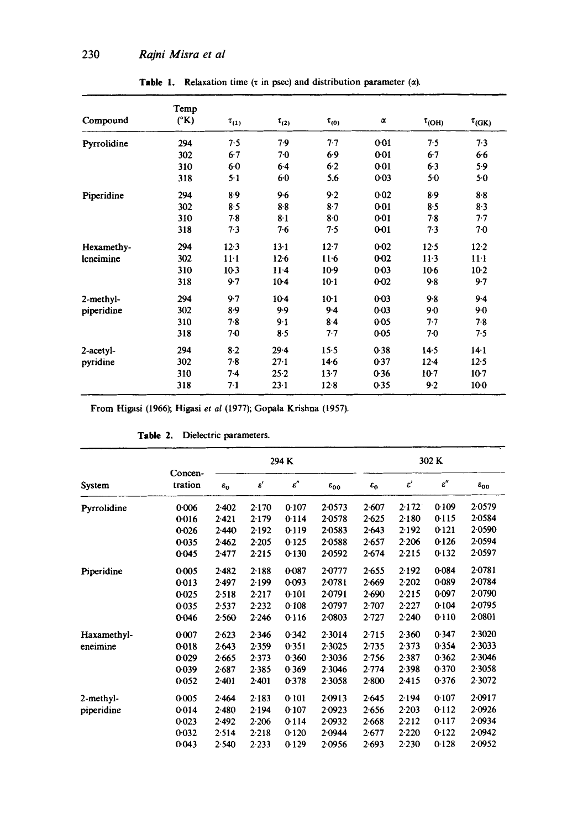| Compound     | Temp<br>$(^{\circ}K)$ |              | $\tau_{(2)}$ | $\tau_{(0)}$ | $\alpha$ | $\tau$ <sub>(OH)</sub> |                        |  |
|--------------|-----------------------|--------------|--------------|--------------|----------|------------------------|------------------------|--|
|              |                       | $\tau_{(1)}$ |              |              |          |                        | $\tau$ <sub>(GK)</sub> |  |
| Pyrrolidine  | 294                   | 7.5          | 7.9          | 7.7          | 001      | 7.5                    | 7.3                    |  |
|              | 302                   | $6-7$        | $7-0$        | 6.9          | 0.01     | 6.7                    | 6.6                    |  |
|              | 310                   | $6-0$        | 6.4          | $6-2$        | 0.01     | $6-3$                  | 5.9                    |  |
|              | 318                   | $5 - 1$      | 60           | 5.6          | $0 - 03$ | $5-0$                  | 5.0                    |  |
| Piperidine   | 294                   | 8.9          | 9.6          | 9.2          | $0 - 02$ | 8.9                    | 8.8                    |  |
|              | 302                   | 8.5          | 8.8          | $8 - 7$      | $0 - 01$ | 8.5                    | 8.3                    |  |
|              | 310                   | 7.8          | $8-1$        | 8.0          | $0 - 01$ | 7.8                    | $7 - 7$                |  |
|              | 318                   | 7.3          | $7-6$        | 7.5          | 0-01     | 7.3                    | 70                     |  |
| Hexamethy-   | 294                   | 12.3         | $13-1$       | $12 - 7$     | $0 - 02$ | 12.5                   | $12 - 2$               |  |
| leneimine    | 302                   | $11-1$       | $12-6$       | $11-6$       | $0 - 02$ | $11-3$                 | $11-1$                 |  |
|              | 310                   | $10-3$       | $11-4$       | $10-9$       | 0.03     | $10-6$                 | $10-2$                 |  |
|              | 318                   | 9.7          | $10-4$       | $10-1$       | $0 - 02$ | 9.8                    | 9.7                    |  |
| 2-methyl-    | 294                   | 9.7          | $10-4$       | $10-1$       | $0 - 03$ | 9.8                    | $9-4$                  |  |
| piperidine   | 302                   | 8.9          | 9.9          | 9.4          | $0 - 03$ | 9.0                    | $9-0$                  |  |
|              | 310                   | 7.8          | $9-1$        | $8 - 4$      | 0.05     | $7 - 7$                | $7-8$                  |  |
|              | 318                   | 70           | 8.5          | 7.7          | $0 - 05$ | 70                     | 7.5                    |  |
| $2$ -acetyl- | 294                   | $8-2$        | $29 - 4$     | 15.5         | 0.38     | $14-5$                 | $14-1$                 |  |
| pyridine     | 302                   | $7-8$        | $27 - 1$     | 14.6         | 0.37     | $12-4$                 | $12-5$                 |  |
|              | 310                   | $7-4$        | $25-2$       | 13.7         | 0.36     | $10-7$                 | $10-7$                 |  |
|              | 318                   | $7-1$        | $23 - 1$     | $12-8$       | 0.35     | 9.2                    | 10-0                   |  |

Table 1. Relaxation time ( $\tau$  in psec) and distribution parameter ( $\alpha$ ).

From Higasi (1966); Higasi *et al* (1977); Gopala Krishna (1957).

| System      | Concen-<br>tration | 294 K           |                      |                 |                    | 302K            |                      |                 |                    |
|-------------|--------------------|-----------------|----------------------|-----------------|--------------------|-----------------|----------------------|-----------------|--------------------|
|             |                    | $\varepsilon_0$ | $\pmb{\varepsilon}'$ | $\varepsilon''$ | $\varepsilon_{00}$ | $\varepsilon_0$ | $\pmb{\varepsilon}'$ | $\varepsilon''$ | $\varepsilon_{00}$ |
| Pyrrolidine | 0.006              | 2.402           | 2.170                | 0.107           | 2.0573             | 2.607           | 2.172                | 0.109           | 2.0579             |
|             | 0016               | 2.421           | 2.179                | 0.114           | 2.0578             | 2.625           | 2.180                | 0.115           | 2.0584             |
|             | 0.026              | 2.440           | 2.192                | 0-119           | 2.0583             | 2.643           | 2.192                | 0121            | 2.0590             |
|             | 0035               | $2-462$         | 2.205                | 0.125           | 2.0588             | 2.657           | 2.206                | 0.126           | 2.0594             |
|             | 0.045              | $2-477$         | 2.215                | $0-130$         | 2.0592             | 2.674           | 2.215                | 0.132           | 2.0597             |
| Piperidine  | 0.005              | $2-482$         | 2.188                | 0-087           | 2.0777             | 2.655           | 2.192                | 0.084           | 2.0781             |
|             | 0-013              | 2.497           | 2.199                | 0.093           | 2.0781             | 2.669           | 2.202                | 0.089           | 2.0784             |
|             | 0.025              | 2.518           | 2.217                | 0.101           | 20791              | 2.690           | 2.215                | 0.097           | 2.0790             |
|             | 0.035              | 2.537           | 2.232                | 0.108           | 2.0797             | 2.707           | $2 - 227$            | 0.104           | 2.0795             |
|             | 0.046              | 2.560           | 2.246                | 0.116           | 2.0803             | 2.727           | 2.240                | 0.110           | 2.0801             |
| Haxamethyl- | 0.007              | 2.623           | 2.346                | 0.342           | 2.3014             | 2.715           | 2.360                | 0.347           | 2.3020             |
| eneimine    | 0-018              | 2.643           | 2.359                | 0.351           | 2.3025             | $2 - 735$       | 2.373                | 0.354           | 2.3033             |
|             | 0.029              | 2.665           | 2.373                | 0.360           | 2.3036             | 2.756           | 2.387                | 0.362           | 2.3046             |
|             | 0.039              | 2.687           | 2.385                | 0.369           | 2.3046             | 2.774           | 2.398                | 0.370           | 2.3058             |
|             | 0.052              | $2 - 401$       | $2-401$              | 0.378           | 2.3058             | $2-800$         | 2.415                | 0.376           | 2.3072             |
| 2-methyl-   | 0.005              | 2.464           | 2.183                | 0.101           | 2.0913             | 2.645           | 2.194                | 0.107           | 2.0917             |
| piperidine  | 0.014              | 2.480           | 2.194                | 0.107           | 2.0923             | 2.656           | 2.203                | 0.112           | 2.0926             |
|             | 0.023              | $2-492$         | 2.206                | 0.114           | 2.0932             | 2.668           | 2.212                | 0.117           | 2.0934             |
|             | 0.032              | 2.514           | 2.218                | 0.120           | 2.0944             | 2.677           | 2.220                | 0.122           | 2.0942             |
|             | 0.043              | 2.540           | $2 - 233$            | 0.129           | 2.0956             | 2.693           | 2.230                | 0.128           | 2.0952             |

### Table 2. Dielectric parameters.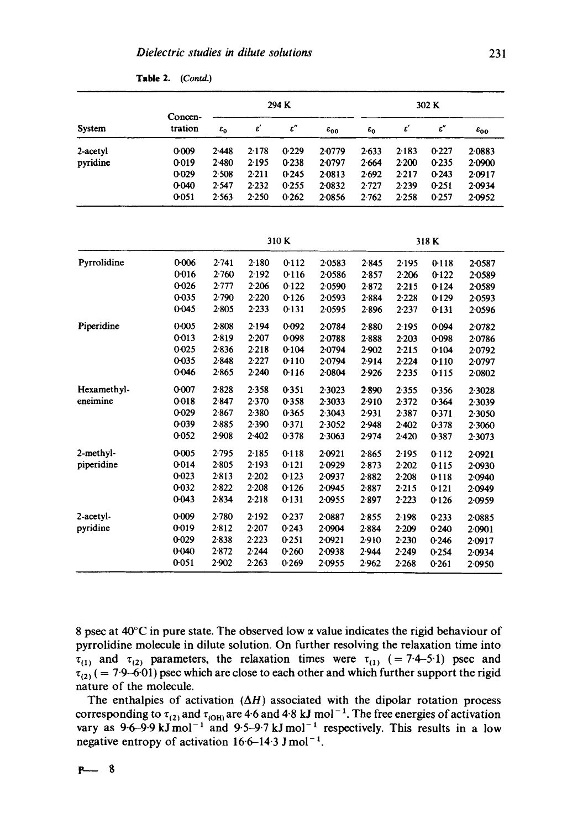| System      | Concen-<br>tration | 294 K           |                      |                 |                    | 302 K           |                      |                 |                    |  |
|-------------|--------------------|-----------------|----------------------|-----------------|--------------------|-----------------|----------------------|-----------------|--------------------|--|
|             |                    | $\varepsilon_0$ | $\pmb{\varepsilon}'$ | $\varepsilon''$ | $\varepsilon_{00}$ | $\varepsilon_0$ | $\pmb{\varepsilon}'$ | $\varepsilon''$ | $\varepsilon_{00}$ |  |
| 2-acetyl    | 0.009              | 2.448           | 2.178                | 0.229           | 2.0779             | $2 - 633$       | 2.183                | 0.227           | 2.0883             |  |
| pyridine    | 0.019              | 2.480           | 2.195                | 0.238           | 2.0797             | 2.664           | 2.200                | 0.235           | 2.0900             |  |
|             | 0-029              | 2.508           | 2.211                | 0.245           | 2.0813             | 2.692           | 2.217                | 0.243           | 2.0917             |  |
|             | 0.040              | 2.547           | 2.232                | 0.255           | 2.0832             | 2.727           | 2.239                | 0.251           | 2.0934             |  |
|             | 0.051              | 2.563           | 2.250                | 0.262           | 2.0856             | 2.762           | 2.258                | 0.257           | 2.0952             |  |
|             |                    | 310K            |                      |                 |                    | 318 K           |                      |                 |                    |  |
| Pyrrolidine | 0.006              | 2.741           | 2.180                | 0.112           | 2.0583             | $2 - 845$       | 2.195                | 0.118           | 2.0587             |  |
|             | 0.016              | 2.760           | 2.192                | 0.116           | 2.0586             | $2-857$         | 2.206                | $0-122$         | 2.0589             |  |
|             | 0026               | 2.777           | 2.206                | 0.122           | 2.0590             | $2 - 872$       | $2 - 215$            | 0.124           | 2.0589             |  |
|             | $0 - 035$          | 2.790           | 2.220                | 0.126           | 2.0593             | $2 - 884$       | 2.228                | 0.129           | 2.0593             |  |
|             | 0.045              | $2-805$         | 2.233                | 0.131           | 2.0595             | $2 - 896$       | 2.237                | 0-131           | 2.0596             |  |
| Piperidine  | 0.005              | $2 - 808$       | 2.194                | 0.092           | 2-0784             | 2.880           | 2.195                | 0.094           | 2.0782             |  |
|             | 0.013              | 2.819           | 2.207                | 0.098           | 2.0788             | 2888            | 2.203                | 0-098           | 2.0786             |  |
|             | 0.025              | 2.836           | 2.218                | 0.104           | 2.0794             | 2.902           | 2.215                | 0.104           | 2.0792             |  |
|             | 0.035              | 2.848           | 2.227                | 0.110           | 2.0794             | 2.914           | 2.224                | 0.110           | 2.0797             |  |
|             | 0.046              | 2.865           | 2.240                | 0.116           | 2.0804             | $2-926$         | 2.235                | 0.115           | 2.0802             |  |
| Hexamethyl- | 0.007              | 2.828           | 2.358                | 0.351           | 2.3023             | 2.890           | 2.355                | 0.356           | 2.3028             |  |
| eneimine    | 0.018              | 2.847           | 2.370                | 0.358           | 2.3033             | 2.910           | 2.372                | 0.364           | 2.3039             |  |
|             | 0.029              | 2.867           | 2.380                | 0.365           | 2.3043             | 2.931           | 2.387                | 0.371           | 2.3050             |  |
|             | 0-039              | $2 - 885$       | 2.390                | 0.371           | 2.3052             | 2.948           | $2 - 402$            | 0.378           | 2.3060             |  |
|             | 0052               | 2.908           | 2.402                | 0.378           | 2.3063             | 2.974           | 2.420                | 0.387           | 2.3073             |  |
| 2-methyl-   | 0.005              | 2.795           | 2.185                | 0.118           | 2.0921             | $2 - 865$       | 2.195                | 0.112           | $2 - 0921$         |  |
| piperidine  | 0.014              | 2.805           | 2.193                | 0.121           | 2.0929             | $2 - 873$       | 2.202                | 0.115           | 2.0930             |  |
|             | 0.023              | 2.813           | 2.202                | 0.123           | 2.0937             | 2-882           | 2.208                | 0.118           | 2.0940             |  |
|             | 0.032              | 2.822           | 2.208                | 0.126           | 2.0945             | 2-887           | 2.215                | 0.121           | 2.0949             |  |
|             | 0.043              | $2 - 834$       | $2 - 218$            | 0.131           | 2.0955             | 2.897           | 2.223                | 0.126           | 2.0959             |  |
| 2-acetyl-   | 0.009              | 2.780           | 2.192                | 0.237           | 2.0887             | 2.855           | 2.198                | 0.233           | 2.0885             |  |
| pyridine    | 0.019              | 2.812           | 2.207                | 0.243           | 2.0904             | $2 - 884$       | 2.209                | 0.240           | 20901              |  |
|             | 0-029              | 2.838           | 2.223                | 0.251           | 2.0921             | 2.910           | 2.230                | 0.246           | 2.0917             |  |
|             | 0.040              | 2.872           | 2.244                | 0.260           | 2.0938             | 2.944           | 2.249                | 0.254           | 2.0934             |  |
|             | 0.051              | 2.902           | 2.263                | 0.269           | 20955              | 2.962           | 2.268                | 0.261           | 2.0950             |  |

8 psec at 40 $\degree$ C in pure state. The observed low  $\alpha$  value indicates the rigid behaviour of pyrrolidine molecule in dilute solution. On further resolving the relaxation time into  $\tau_{(1)}$  and  $\tau_{(2)}$  parameters, the relaxation times were  $\tau_{(1)}$  (= 7-4-5-1) psec and  $\tau_{(2)}$  ( = 7.9–6.01) psec which are close to each other and which further support the rigid nature of the molecule.

The enthalpies of activation  $(\Delta H)$  associated with the dipolar rotation process corresponding to  $\tau_{(2)}$  and  $\tau_{(0)0}$  are 4-6 and 4-8 kJ mol<sup>-1</sup>. The free energies of activation vary as 9.6–9.9 kJ mol<sup>-1</sup> and 9.5–9.7 kJ mol<sup>-1</sup> respectively. This results in a low negative entropy of activation  $16.6-14.3$  J mol<sup>-1</sup>.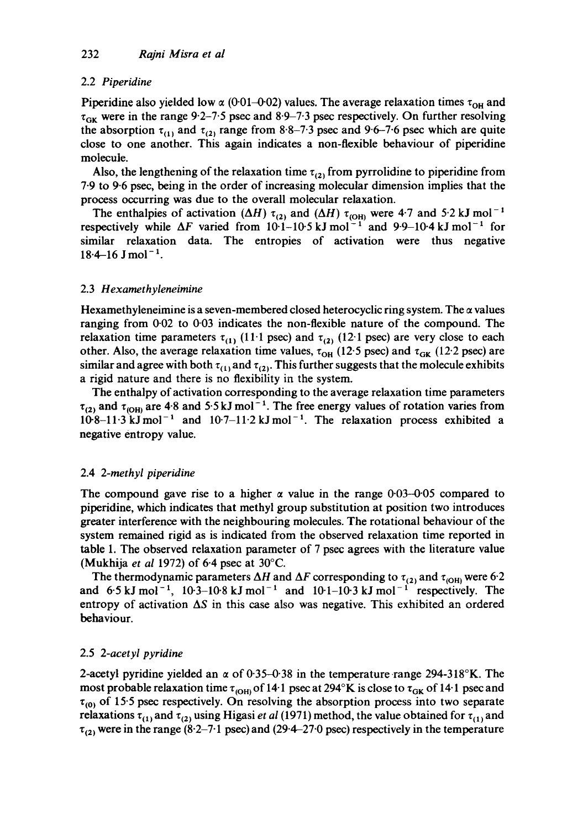# 2.2 *Piperidine*

Piperidine also yielded low  $\alpha$  (0-01-0-02) values. The average relaxation times  $\tau_{\text{OH}}$  and  $\tau_{GK}$  were in the range 9.2-7.5 psec and 8.9-7.3 psec respectively. On further resolving the absorption  $\tau_{(1)}$  and  $\tau_{(2)}$  range from 8.8-7.3 psec and 9.6-7.6 psec which are quite close to one another. This again indicates a non-flexible behaviour of piperidine molecule.

Also, the lengthening of the relaxation time  $\tau_{(2)}$  from pyrrolidine to piperidine from 7-9 to 9-6 psec, being in the order of increasing molecular dimension implies that the process occurring was due to the overall molecular relaxation.

The enthalpies of activation ( $\Delta H$ )  $\tau_{(2)}$  and ( $\Delta H$ )  $\tau_{(\text{OH})}$  were 4-7 and 5.2 kJ mol<sup>-1</sup> respectively while  $\Delta F$  varied from 10-1-10-5 kJ mol<sup>-1</sup> and 9-9-10-4 kJ mol<sup>-1</sup> for similar relaxation data. The entropies of activation were thus negative  $18.4-16$  J mol<sup>-1</sup>.

### 2.3 *Hexamethyleneimine*

Hexamethyleneimine is a seven-membered closed heterocyclic ring system. The  $\alpha$  values ranging from 0-02 to 0-03 indicates the non-flexible nature of the compound. The relaxation time parameters  $\tau_{(1)}$  (11.1 psec) and  $\tau_{(2)}$  (12.1 psec) are very close to each other. Also, the average relaxation time values,  $\tau_{OH}$  (12.5 psec) and  $\tau_{GK}$  (12.2 psec) are similar and agree with both  $\tau_{(1)}$  and  $\tau_{(2)}$ . This further suggests that the molecule exhibits a rigid nature and there is no flexibility in the system.

The enthalpy of activation corresponding to the average relaxation time parameters  $\tau_{(2)}$  and  $\tau_{(0)00}$  are 4.8 and 5.5 kJ mol<sup>-1</sup>. The free energy values of rotation varies from  $10-8-11-3$  kJ mol<sup>-1</sup> and  $10-7-11-2$  kJ mol<sup>-1</sup>. The relaxation process exhibited a negative entropy value.

# 2.4 *2-methyl piperidine*

The compound gave rise to a higher  $\alpha$  value in the range 0.03-0.05 compared to piperidine, which indicates that methyl group substitution at position two introduces greater interference with the neighbouring molecules. The rotational behaviour of the system remained rigid as is indicated from the observed relaxation time reported in table 1. The observed relaxation parameter of 7 psec agrees with the literature value (Mukhija *et al* 1972) of 6-4 psec at 30°C.

The thermodynamic parameters  $\Delta H$  and  $\Delta F$  corresponding to  $\tau_{(2)}$  and  $\tau_{(OH)}$  were 6.2 and  $6.5 \text{ kJ} \text{ mol}^{-1}$ ,  $10.3-10.8 \text{ kJ} \text{ mol}^{-1}$  and  $10.1-10.3 \text{ kJ} \text{ mol}^{-1}$  respectively. The entropy of activation  $\Delta S$  in this case also was negative. This exhibited an ordered behaviour.

# 2.5 *2-acetyl pyridine*

2-acetyl pyridine yielded an  $\alpha$  of 0.35-0.38 in the temperature range 294-318°K. The most probable relaxation time  $\tau_{\rm(OH)}$  of 14·1 psec at 294°K is close to  $\tau_{\rm GK}$  of 14·1 psec and  $\tau_{(0)}$  of 15-5 psec respectively. On resolving the absorption process into two separate relaxations  $\tau_{(1)}$  and  $\tau_{(2)}$  using Higasi *et al* (1971) method, the value obtained for  $\tau_{(1)}$  and  $\tau_{(2)}$  were in the range (8.2–7.1 psec) and (29.4–27.0 psec) respectively in the temperature